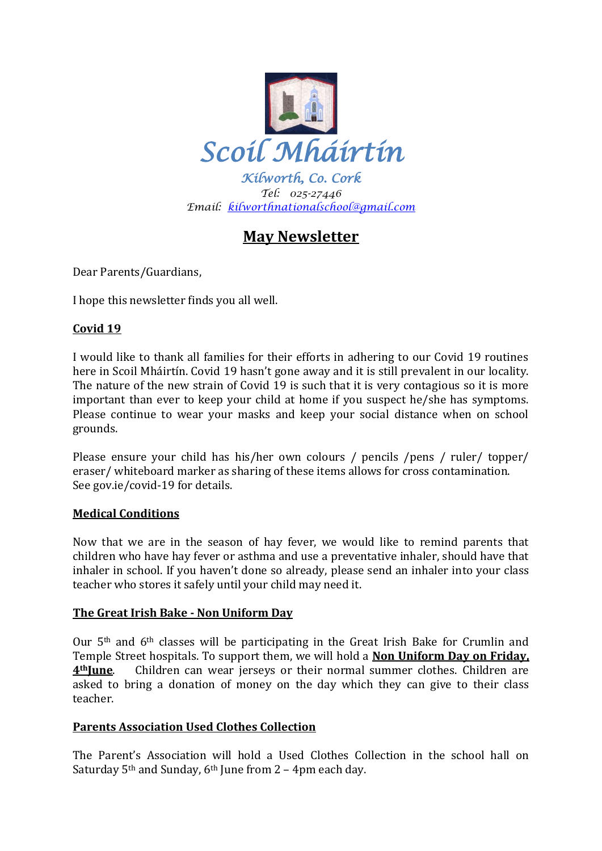

*Kilworth, Co. Cork Tel: 025-27446 Email: [kilworthnationalschool@gmail.com](mailto:kilworthnationalschool@gmail.com)*

# **May Newsletter**

Dear Parents/Guardians,

I hope this newsletter finds you all well.

# **Covid 19**

I would like to thank all families for their efforts in adhering to our Covid 19 routines here in Scoil Mháirtín. Covid 19 hasn't gone away and it is still prevalent in our locality. The nature of the new strain of Covid 19 is such that it is very contagious so it is more important than ever to keep your child at home if you suspect he/she has symptoms. Please continue to wear your masks and keep your social distance when on school grounds.

Please ensure your child has his/her own colours / pencils /pens / ruler/ topper/ eraser/ whiteboard marker as sharing of these items allows for cross contamination. See gov.ie/covid-19 for details.

## **Medical Conditions**

Now that we are in the season of hay fever, we would like to remind parents that children who have hay fever or asthma and use a preventative inhaler, should have that inhaler in school. If you haven't done so already, please send an inhaler into your class teacher who stores it safely until your child may need it.

## **The Great Irish Bake - Non Uniform Day**

Our 5th and 6th classes will be participating in the Great Irish Bake for Crumlin and Temple Street hospitals. To support them, we will hold a **Non Uniform Day on Friday, 4thJune**. Children can wear jerseys or their normal summer clothes. Children are asked to bring a donation of money on the day which they can give to their class teacher.

# **Parents Association Used Clothes Collection**

The Parent's Association will hold a Used Clothes Collection in the school hall on Saturday 5<sup>th</sup> and Sunday, 6<sup>th</sup> June from 2 – 4pm each day.